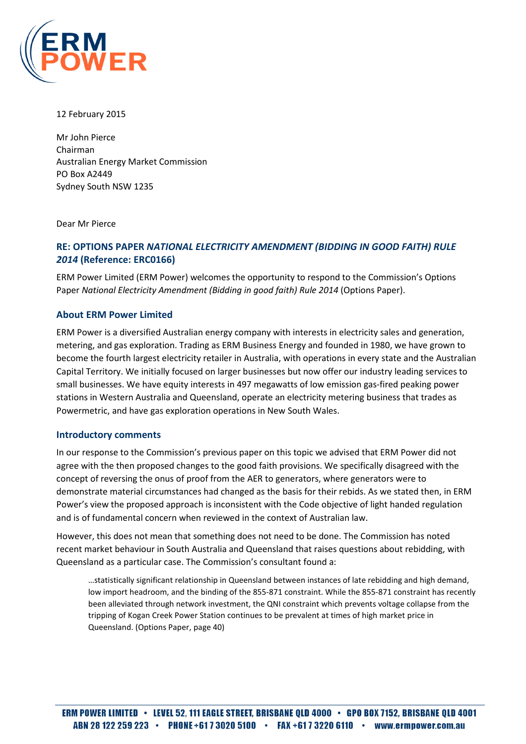

12 February 2015

Mr John Pierce Chairman Australian Energy Market Commission PO Box A2449 Sydney South NSW 1235

Dear Mr Pierce

# RE: OPTIONS PAPER NATIONAL ELECTRICITY AMENDMENT (BIDDING IN GOOD FAITH) RULE 2014 (Reference: ERC0166)

ERM Power Limited (ERM Power) welcomes the opportunity to respond to the Commission's Options Paper National Electricity Amendment (Bidding in good faith) Rule 2014 (Options Paper).

## About ERM Power Limited

ERM Power is a diversified Australian energy company with interests in electricity sales and generation, metering, and gas exploration. Trading as ERM Business Energy and founded in 1980, we have grown to become the fourth largest electricity retailer in Australia, with operations in every state and the Australian Capital Territory. We initially focused on larger businesses but now offer our industry leading services to small businesses. We have equity interests in 497 megawatts of low emission gas-fired peaking power stations in Western Australia and Queensland, operate an electricity metering business that trades as Powermetric, and have gas exploration operations in New South Wales.

#### Introductory comments

In our response to the Commission's previous paper on this topic we advised that ERM Power did not agree with the then proposed changes to the good faith provisions. We specifically disagreed with the concept of reversing the onus of proof from the AER to generators, where generators were to demonstrate material circumstances had changed as the basis for their rebids. As we stated then, in ERM Power's view the proposed approach is inconsistent with the Code objective of light handed regulation and is of fundamental concern when reviewed in the context of Australian law.

However, this does not mean that something does not need to be done. The Commission has noted recent market behaviour in South Australia and Queensland that raises questions about rebidding, with Queensland as a particular case. The Commission's consultant found a:

…statistically significant relationship in Queensland between instances of late rebidding and high demand, low import headroom, and the binding of the 855-871 constraint. While the 855-871 constraint has recently been alleviated through network investment, the QNI constraint which prevents voltage collapse from the tripping of Kogan Creek Power Station continues to be prevalent at times of high market price in Queensland. (Options Paper, page 40)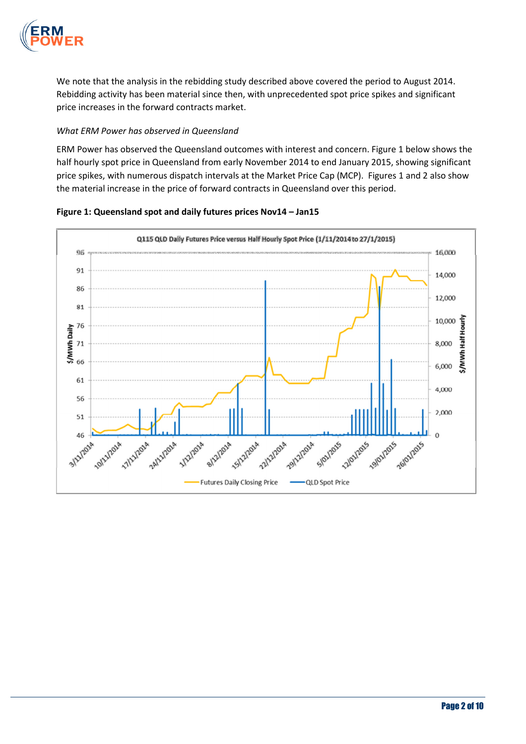

We note that the analysis in the rebidding study described above covered the period to August 2014. Rebidding activity has been material since then, with unprecedented spot price spikes and significant price increases in the forward contracts market.

## What ERM Power has observed in Queensland

ERM Power has observed the Queensland outcomes with interest and concern. Figure 1 below shows the half hourly spot price in Queensland from early November 2014 to end January 2015, showing significant price spikes, with numerous dispatch intervals at the Market Price Cap (MCP). Figures 1 and 2 also show the material increase in the price of forward contracts in Queensland over this period.



Figure 1: Queensland spot and daily futures prices Nov14 – Jan15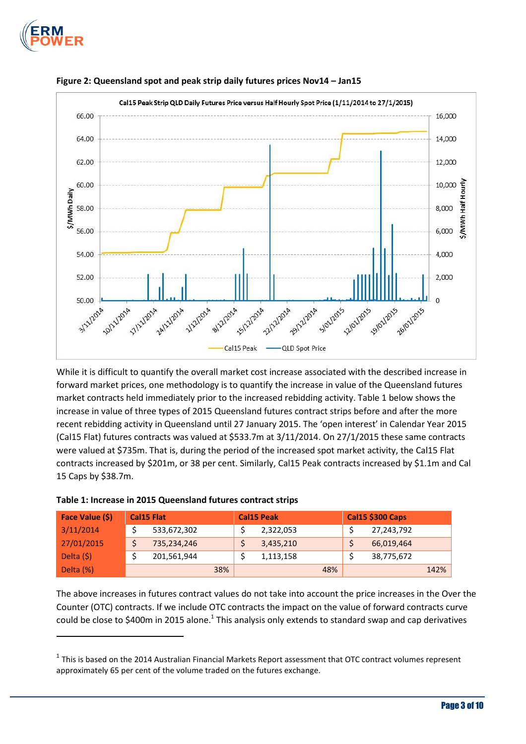

l





While it is difficult to quantify the overall market cost increase associated with the described increase in forward market prices, one methodology is to quantify the increase in value of the Queensland futures market contracts held immediately prior to the increased rebidding activity. Table 1 below shows the increase in value of three types of 2015 Queensland futures contract strips before and after the more recent rebidding activity in Queensland until 27 January 2015. The 'open interest' in Calendar Year 2015 (Cal15 Flat) futures contracts was valued at \$533.7m at 3/11/2014. On 27/1/2015 these same contracts were valued at \$735m. That is, during the period of the increased spot market activity, the Cal15 Flat contracts increased by \$201m, or 38 per cent. Similarly, Cal15 Peak contracts increased by \$1.1m and Cal 15 Caps by \$38.7m.

| Face Value (\$) | <b>Cal15 Flat</b> |             | <b>Cal15 Peak</b> |  |           | <b>Cal15 \$300 Caps</b> |  |            |      |
|-----------------|-------------------|-------------|-------------------|--|-----------|-------------------------|--|------------|------|
| 3/11/2014       |                   | 533,672,302 |                   |  | 2,322,053 |                         |  | 27,243,792 |      |
| 27/01/2015      |                   | 735,234,246 |                   |  | 3,435,210 |                         |  | 66,019,464 |      |
| Delta $(5)$     |                   | 201,561,944 |                   |  | 1,113,158 |                         |  | 38,775,672 |      |
| Delta (%)       |                   | 38%         |                   |  |           | 48%                     |  |            | 142% |

#### Table 1: Increase in 2015 Queensland futures contract strips

The above increases in futures contract values do not take into account the price increases in the Over the Counter (OTC) contracts. If we include OTC contracts the impact on the value of forward contracts curve could be close to \$400m in 2015 alone.<sup>1</sup> This analysis only extends to standard swap and cap derivatives

 $^1$  This is based on the 2014 Australian Financial Markets Report assessment that OTC contract volumes represent approximately 65 per cent of the volume traded on the futures exchange.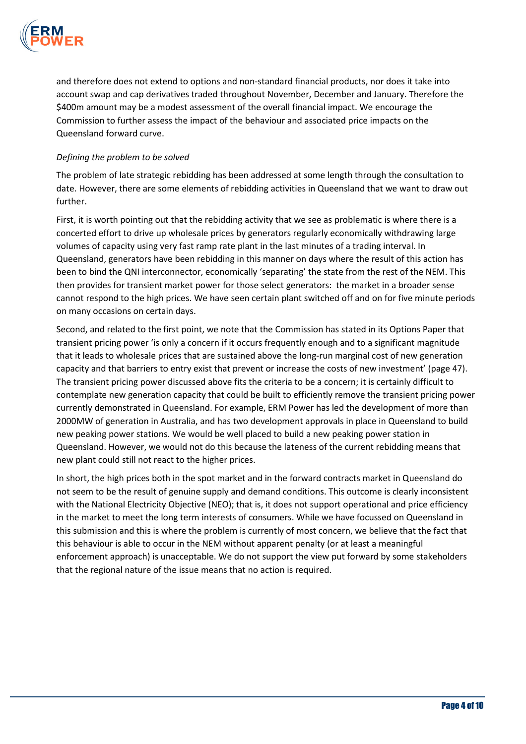

and therefore does not extend to options and non-standard financial products, nor does it take into account swap and cap derivatives traded throughout November, December and January. Therefore the \$400m amount may be a modest assessment of the overall financial impact. We encourage the Commission to further assess the impact of the behaviour and associated price impacts on the Queensland forward curve.

## Defining the problem to be solved

The problem of late strategic rebidding has been addressed at some length through the consultation to date. However, there are some elements of rebidding activities in Queensland that we want to draw out further.

First, it is worth pointing out that the rebidding activity that we see as problematic is where there is a concerted effort to drive up wholesale prices by generators regularly economically withdrawing large volumes of capacity using very fast ramp rate plant in the last minutes of a trading interval. In Queensland, generators have been rebidding in this manner on days where the result of this action has been to bind the QNI interconnector, economically 'separating' the state from the rest of the NEM. This then provides for transient market power for those select generators: the market in a broader sense cannot respond to the high prices. We have seen certain plant switched off and on for five minute periods on many occasions on certain days.

Second, and related to the first point, we note that the Commission has stated in its Options Paper that transient pricing power 'is only a concern if it occurs frequently enough and to a significant magnitude that it leads to wholesale prices that are sustained above the long-run marginal cost of new generation capacity and that barriers to entry exist that prevent or increase the costs of new investment' (page 47). The transient pricing power discussed above fits the criteria to be a concern; it is certainly difficult to contemplate new generation capacity that could be built to efficiently remove the transient pricing power currently demonstrated in Queensland. For example, ERM Power has led the development of more than 2000MW of generation in Australia, and has two development approvals in place in Queensland to build new peaking power stations. We would be well placed to build a new peaking power station in Queensland. However, we would not do this because the lateness of the current rebidding means that new plant could still not react to the higher prices.

In short, the high prices both in the spot market and in the forward contracts market in Queensland do not seem to be the result of genuine supply and demand conditions. This outcome is clearly inconsistent with the National Electricity Objective (NEO); that is, it does not support operational and price efficiency in the market to meet the long term interests of consumers. While we have focussed on Queensland in this submission and this is where the problem is currently of most concern, we believe that the fact that this behaviour is able to occur in the NEM without apparent penalty (or at least a meaningful enforcement approach) is unacceptable. We do not support the view put forward by some stakeholders that the regional nature of the issue means that no action is required.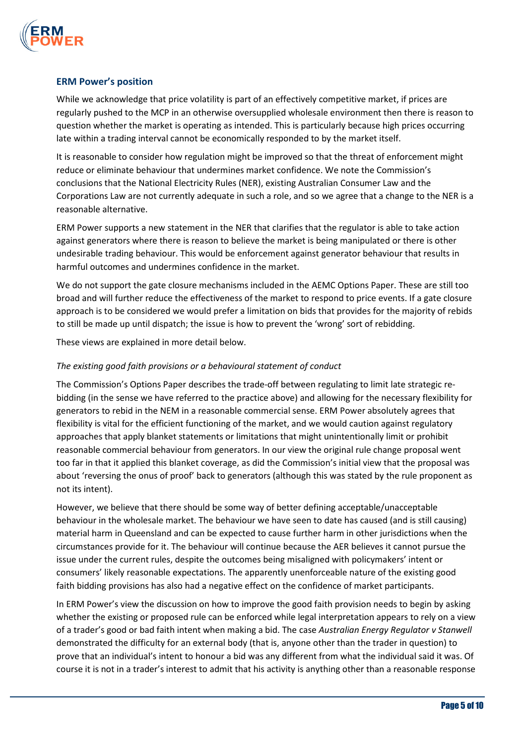

## ERM Power's position

While we acknowledge that price volatility is part of an effectively competitive market, if prices are regularly pushed to the MCP in an otherwise oversupplied wholesale environment then there is reason to question whether the market is operating as intended. This is particularly because high prices occurring late within a trading interval cannot be economically responded to by the market itself.

It is reasonable to consider how regulation might be improved so that the threat of enforcement might reduce or eliminate behaviour that undermines market confidence. We note the Commission's conclusions that the National Electricity Rules (NER), existing Australian Consumer Law and the Corporations Law are not currently adequate in such a role, and so we agree that a change to the NER is a reasonable alternative.

ERM Power supports a new statement in the NER that clarifies that the regulator is able to take action against generators where there is reason to believe the market is being manipulated or there is other undesirable trading behaviour. This would be enforcement against generator behaviour that results in harmful outcomes and undermines confidence in the market.

We do not support the gate closure mechanisms included in the AEMC Options Paper. These are still too broad and will further reduce the effectiveness of the market to respond to price events. If a gate closure approach is to be considered we would prefer a limitation on bids that provides for the majority of rebids to still be made up until dispatch; the issue is how to prevent the 'wrong' sort of rebidding.

These views are explained in more detail below.

## The existing good faith provisions or a behavioural statement of conduct

The Commission's Options Paper describes the trade-off between regulating to limit late strategic rebidding (in the sense we have referred to the practice above) and allowing for the necessary flexibility for generators to rebid in the NEM in a reasonable commercial sense. ERM Power absolutely agrees that flexibility is vital for the efficient functioning of the market, and we would caution against regulatory approaches that apply blanket statements or limitations that might unintentionally limit or prohibit reasonable commercial behaviour from generators. In our view the original rule change proposal went too far in that it applied this blanket coverage, as did the Commission's initial view that the proposal was about 'reversing the onus of proof' back to generators (although this was stated by the rule proponent as not its intent).

However, we believe that there should be some way of better defining acceptable/unacceptable behaviour in the wholesale market. The behaviour we have seen to date has caused (and is still causing) material harm in Queensland and can be expected to cause further harm in other jurisdictions when the circumstances provide for it. The behaviour will continue because the AER believes it cannot pursue the issue under the current rules, despite the outcomes being misaligned with policymakers' intent or consumers' likely reasonable expectations. The apparently unenforceable nature of the existing good faith bidding provisions has also had a negative effect on the confidence of market participants.

In ERM Power's view the discussion on how to improve the good faith provision needs to begin by asking whether the existing or proposed rule can be enforced while legal interpretation appears to rely on a view of a trader's good or bad faith intent when making a bid. The case Australian Energy Regulator v Stanwell demonstrated the difficulty for an external body (that is, anyone other than the trader in question) to prove that an individual's intent to honour a bid was any different from what the individual said it was. Of course it is not in a trader's interest to admit that his activity is anything other than a reasonable response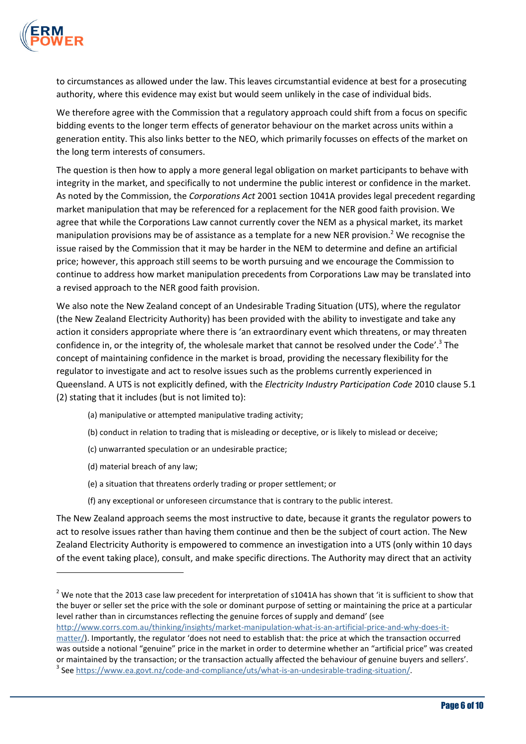

to circumstances as allowed under the law. This leaves circumstantial evidence at best for a prosecuting authority, where this evidence may exist but would seem unlikely in the case of individual bids.

We therefore agree with the Commission that a regulatory approach could shift from a focus on specific bidding events to the longer term effects of generator behaviour on the market across units within a generation entity. This also links better to the NEO, which primarily focusses on effects of the market on the long term interests of consumers.

The question is then how to apply a more general legal obligation on market participants to behave with integrity in the market, and specifically to not undermine the public interest or confidence in the market. As noted by the Commission, the Corporations Act 2001 section 1041A provides legal precedent regarding market manipulation that may be referenced for a replacement for the NER good faith provision. We agree that while the Corporations Law cannot currently cover the NEM as a physical market, its market manipulation provisions may be of assistance as a template for a new NER provision.<sup>2</sup> We recognise the issue raised by the Commission that it may be harder in the NEM to determine and define an artificial price; however, this approach still seems to be worth pursuing and we encourage the Commission to continue to address how market manipulation precedents from Corporations Law may be translated into a revised approach to the NER good faith provision.

We also note the New Zealand concept of an Undesirable Trading Situation (UTS), where the regulator (the New Zealand Electricity Authority) has been provided with the ability to investigate and take any action it considers appropriate where there is 'an extraordinary event which threatens, or may threaten confidence in, or the integrity of, the wholesale market that cannot be resolved under the Code'.<sup>3</sup> The concept of maintaining confidence in the market is broad, providing the necessary flexibility for the regulator to investigate and act to resolve issues such as the problems currently experienced in Queensland. A UTS is not explicitly defined, with the *Electricity Industry Participation Code* 2010 clause 5.1 (2) stating that it includes (but is not limited to):

- (a) manipulative or attempted manipulative trading activity;
- (b) conduct in relation to trading that is misleading or deceptive, or is likely to mislead or deceive;
- (c) unwarranted speculation or an undesirable practice;
- (d) material breach of any law;

l

- (e) a situation that threatens orderly trading or proper settlement; or
- (f) any exceptional or unforeseen circumstance that is contrary to the public interest.

The New Zealand approach seems the most instructive to date, because it grants the regulator powers to act to resolve issues rather than having them continue and then be the subject of court action. The New Zealand Electricity Authority is empowered to commence an investigation into a UTS (only within 10 days of the event taking place), consult, and make specific directions. The Authority may direct that an activity

http://www.corrs.com.au/thinking/insights/market-manipulation-what-is-an-artificial-price-and-why-does-itmatter/). Importantly, the regulator 'does not need to establish that: the price at which the transaction occurred was outside a notional "genuine" price in the market in order to determine whether an "artificial price" was created or maintained by the transaction; or the transaction actually affected the behaviour of genuine buyers and sellers'. <sup>3</sup> See https://www.ea.govt.nz/code-and-compliance/uts/what-is-an-undesirable-trading-situation/.

<sup>&</sup>lt;sup>2</sup> We note that the 2013 case law precedent for interpretation of s1041A has shown that 'it is sufficient to show that the buyer or seller set the price with the sole or dominant purpose of setting or maintaining the price at a particular level rather than in circumstances reflecting the genuine forces of supply and demand' (see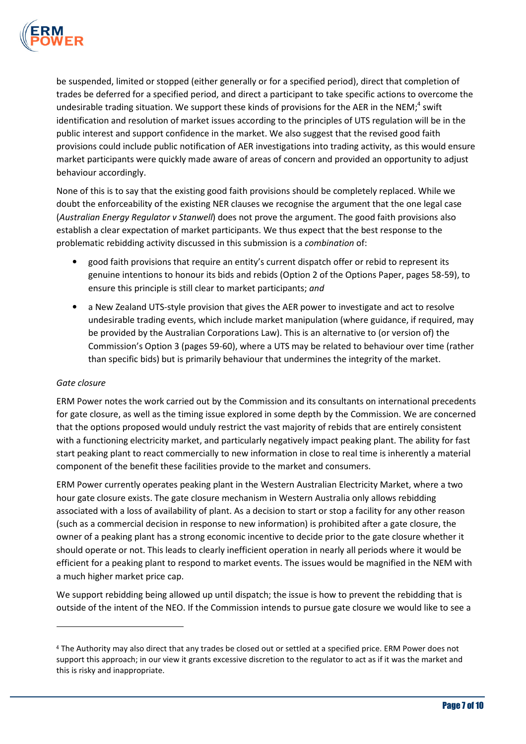

be suspended, limited or stopped (either generally or for a specified period), direct that completion of trades be deferred for a specified period, and direct a participant to take specific actions to overcome the undesirable trading situation. We support these kinds of provisions for the AER in the NEM;<sup>4</sup> swift identification and resolution of market issues according to the principles of UTS regulation will be in the public interest and support confidence in the market. We also suggest that the revised good faith provisions could include public notification of AER investigations into trading activity, as this would ensure market participants were quickly made aware of areas of concern and provided an opportunity to adjust behaviour accordingly.

None of this is to say that the existing good faith provisions should be completely replaced. While we doubt the enforceability of the existing NER clauses we recognise the argument that the one legal case (Australian Energy Regulator v Stanwell) does not prove the argument. The good faith provisions also establish a clear expectation of market participants. We thus expect that the best response to the problematic rebidding activity discussed in this submission is a combination of:

- good faith provisions that require an entity's current dispatch offer or rebid to represent its genuine intentions to honour its bids and rebids (Option 2 of the Options Paper, pages 58-59), to ensure this principle is still clear to market participants; and
- a New Zealand UTS-style provision that gives the AER power to investigate and act to resolve undesirable trading events, which include market manipulation (where guidance, if required, may be provided by the Australian Corporations Law). This is an alternative to (or version of) the Commission's Option 3 (pages 59-60), where a UTS may be related to behaviour over time (rather than specific bids) but is primarily behaviour that undermines the integrity of the market.

#### Gate closure

 $\overline{a}$ 

ERM Power notes the work carried out by the Commission and its consultants on international precedents for gate closure, as well as the timing issue explored in some depth by the Commission. We are concerned that the options proposed would unduly restrict the vast majority of rebids that are entirely consistent with a functioning electricity market, and particularly negatively impact peaking plant. The ability for fast start peaking plant to react commercially to new information in close to real time is inherently a material component of the benefit these facilities provide to the market and consumers.

ERM Power currently operates peaking plant in the Western Australian Electricity Market, where a two hour gate closure exists. The gate closure mechanism in Western Australia only allows rebidding associated with a loss of availability of plant. As a decision to start or stop a facility for any other reason (such as a commercial decision in response to new information) is prohibited after a gate closure, the owner of a peaking plant has a strong economic incentive to decide prior to the gate closure whether it should operate or not. This leads to clearly inefficient operation in nearly all periods where it would be efficient for a peaking plant to respond to market events. The issues would be magnified in the NEM with a much higher market price cap.

We support rebidding being allowed up until dispatch; the issue is how to prevent the rebidding that is outside of the intent of the NEO. If the Commission intends to pursue gate closure we would like to see a

<sup>4</sup> The Authority may also direct that any trades be closed out or settled at a specified price. ERM Power does not support this approach; in our view it grants excessive discretion to the regulator to act as if it was the market and this is risky and inappropriate.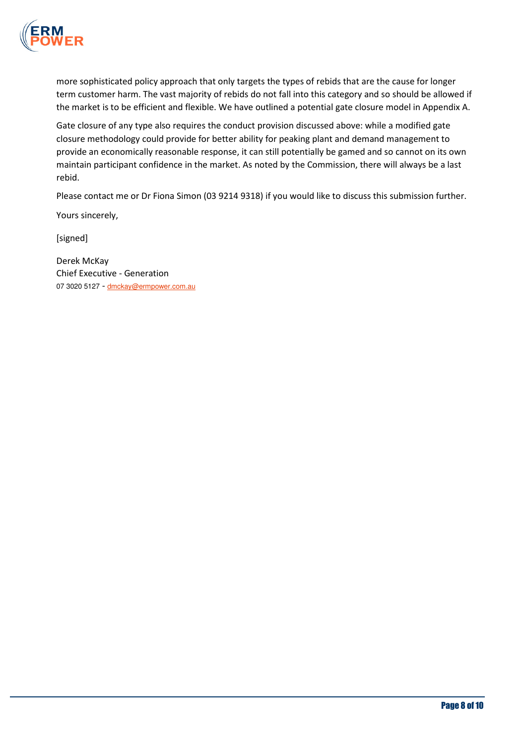

more sophisticated policy approach that only targets the types of rebids that are the cause for longer term customer harm. The vast majority of rebids do not fall into this category and so should be allowed if the market is to be efficient and flexible. We have outlined a potential gate closure model in Appendix A.

Gate closure of any type also requires the conduct provision discussed above: while a modified gate closure methodology could provide for better ability for peaking plant and demand management to provide an economically reasonable response, it can still potentially be gamed and so cannot on its own maintain participant confidence in the market. As noted by the Commission, there will always be a last rebid.

Please contact me or Dr Fiona Simon (03 9214 9318) if you would like to discuss this submission further.

Yours sincerely,

[signed]

Derek McKay Chief Executive - Generation 07 3020 5127 - dmckay@ermpower.com.au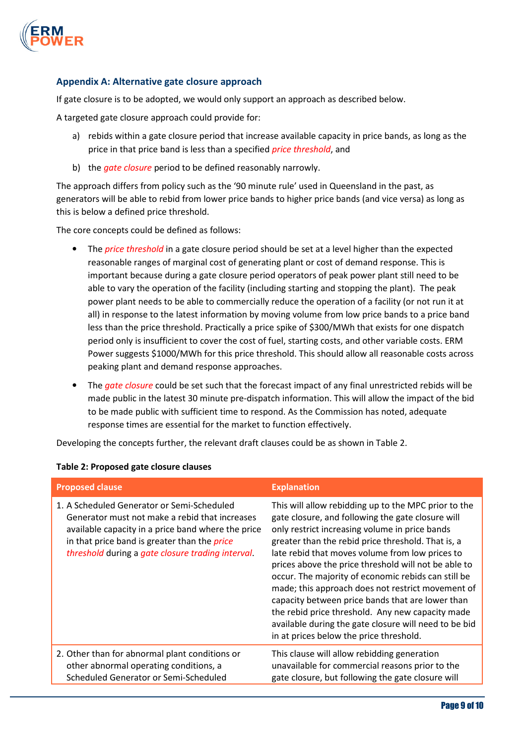

# Appendix A: Alternative gate closure approach

If gate closure is to be adopted, we would only support an approach as described below.

A targeted gate closure approach could provide for:

- a) rebids within a gate closure period that increase available capacity in price bands, as long as the price in that price band is less than a specified *price threshold*, and
- b) the gate closure period to be defined reasonably narrowly.

The approach differs from policy such as the '90 minute rule' used in Queensland in the past, as generators will be able to rebid from lower price bands to higher price bands (and vice versa) as long as this is below a defined price threshold.

The core concepts could be defined as follows:

- The *price threshold* in a gate closure period should be set at a level higher than the expected reasonable ranges of marginal cost of generating plant or cost of demand response. This is important because during a gate closure period operators of peak power plant still need to be able to vary the operation of the facility (including starting and stopping the plant). The peak power plant needs to be able to commercially reduce the operation of a facility (or not run it at all) in response to the latest information by moving volume from low price bands to a price band less than the price threshold. Practically a price spike of \$300/MWh that exists for one dispatch period only is insufficient to cover the cost of fuel, starting costs, and other variable costs. ERM Power suggests \$1000/MWh for this price threshold. This should allow all reasonable costs across peaking plant and demand response approaches.
- The gate closure could be set such that the forecast impact of any final unrestricted rebids will be made public in the latest 30 minute pre-dispatch information. This will allow the impact of the bid to be made public with sufficient time to respond. As the Commission has noted, adequate response times are essential for the market to function effectively.

Developing the concepts further, the relevant draft clauses could be as shown in Table 2.

| <b>Proposed clause</b>                                                                                                                                                                                                                                         | <b>Explanation</b>                                                                                                                                                                                                                                                                                                                                                                                                                                                                                                                                                                                                                                   |
|----------------------------------------------------------------------------------------------------------------------------------------------------------------------------------------------------------------------------------------------------------------|------------------------------------------------------------------------------------------------------------------------------------------------------------------------------------------------------------------------------------------------------------------------------------------------------------------------------------------------------------------------------------------------------------------------------------------------------------------------------------------------------------------------------------------------------------------------------------------------------------------------------------------------------|
| 1. A Scheduled Generator or Semi-Scheduled<br>Generator must not make a rebid that increases<br>available capacity in a price band where the price<br>in that price band is greater than the <i>price</i><br>threshold during a gate closure trading interval. | This will allow rebidding up to the MPC prior to the<br>gate closure, and following the gate closure will<br>only restrict increasing volume in price bands<br>greater than the rebid price threshold. That is, a<br>late rebid that moves volume from low prices to<br>prices above the price threshold will not be able to<br>occur. The majority of economic rebids can still be<br>made; this approach does not restrict movement of<br>capacity between price bands that are lower than<br>the rebid price threshold. Any new capacity made<br>available during the gate closure will need to be bid<br>in at prices below the price threshold. |
| 2. Other than for abnormal plant conditions or<br>other abnormal operating conditions, a<br>Scheduled Generator or Semi-Scheduled                                                                                                                              | This clause will allow rebidding generation<br>unavailable for commercial reasons prior to the<br>gate closure, but following the gate closure will                                                                                                                                                                                                                                                                                                                                                                                                                                                                                                  |

#### Table 2: Proposed gate closure clauses